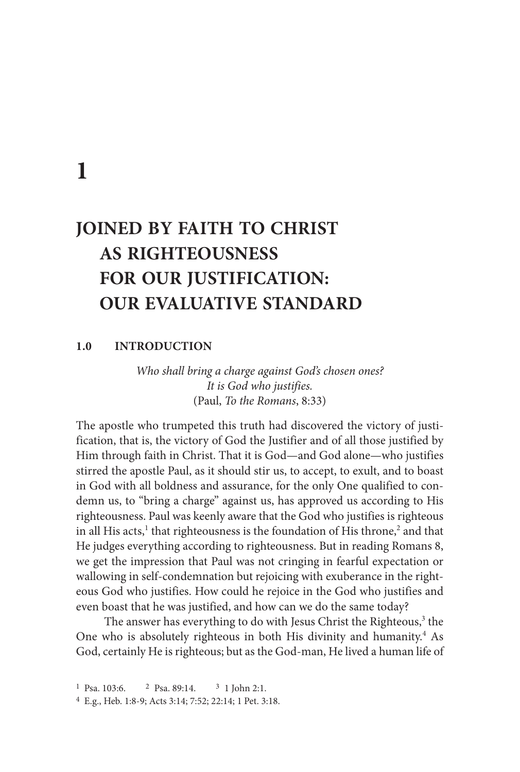**1**

# **JOINED BY FAITH TO CHRIST AS RIGHTEOUSNESS FOR OUR JUSTIFICATION: OUR EVALUATIVE STANDARD**

### **1.0 INTRODUCTION**

*Who shall bring a charge against God's chosen ones? It is God who justifies.* (Paul, *To the Romans*, 8:33)

The apostle who trumpeted this truth had discovered the victory of justification, that is, the victory of God the Justifier and of all those justified by Him through faith in Christ. That it is God—and God alone—who justifies stirred the apostle Paul, as it should stir us, to accept, to exult, and to boast in God with all boldness and assurance, for the only One qualified to condemn us, to "bring a charge" against us, has approved us according to His righteousness. Paul was keenly aware that the God who justifies is righteous in all His acts,<sup>1</sup> that righteousness is the foundation of His throne,<sup>2</sup> and that He judges everything according to righteousness. But in reading Romans 8, we get the impression that Paul was not cringing in fearful expectation or wallowing in self-condemnation but rejoicing with exuberance in the righteous God who justifies. How could he rejoice in the God who justifies and even boast that he was justified, and how can we do the same today?

The answer has everything to do with Jesus Christ the Righteous,<sup>3</sup> the One who is absolutely righteous in both His divinity and humanity.<sup>4</sup> As God, certainly He is righteous; but as the God-man, He lived a human life of

<sup>1</sup> Psa. 103:6. <sup>2</sup> Psa. 89:14. <sup>3</sup> 1 John 2:1. 4 E.g., Heb. 1:8-9; Acts 3:14; 7:52; 22:14; 1 Pet. 3:18.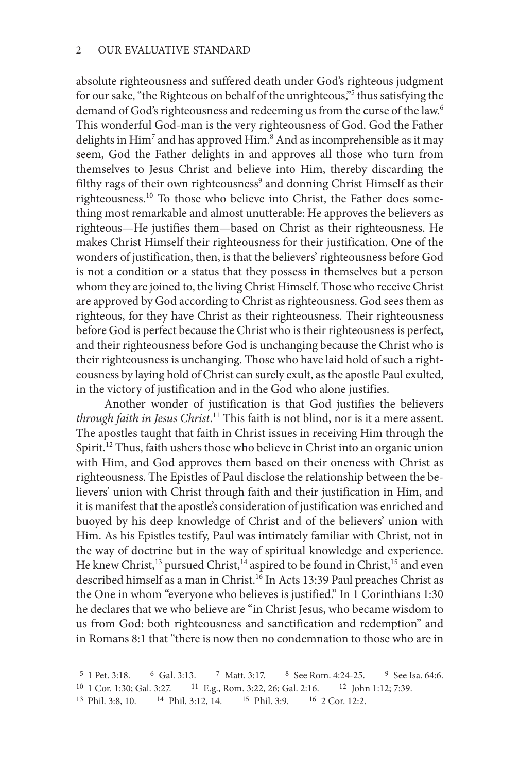absolute righteousness and suffered death under God's righteous judgment for our sake, "the Righteous on behalf of the unrighteous,"<sup>5</sup> thus satisfying the demand of God's righteousness and redeeming us from the curse of the law.<sup>6</sup> This wonderful God-man is the very righteousness of God. God the Father delights in Him<sup>7</sup> and has approved Him.<sup>8</sup> And as incomprehensible as it may seem, God the Father delights in and approves all those who turn from themselves to Jesus Christ and believe into Him, thereby discarding the filthy rags of their own righteousness<sup>9</sup> and donning Christ Himself as their righteousness.10 To those who believe into Christ, the Father does something most remarkable and almost unutterable: He approves the believers as righteous—He justifies them—based on Christ as their righteousness. He makes Christ Himself their righteousness for their justification. One of the wonders of justification, then, is that the believers' righteousness before God is not a condition or a status that they possess in themselves but a person whom they are joined to, the living Christ Himself. Those who receive Christ are approved by God according to Christ as righteousness. God sees them as righteous, for they have Christ as their righteousness. Their righteousness before God is perfect because the Christ who is their righteousness is perfect, and their righteousness before God is unchanging because the Christ who is their righteousness is unchanging. Those who have laid hold of such a righteousness by laying hold of Christ can surely exult, as the apostle Paul exulted, in the victory of justification and in the God who alone justifies.

Another wonder of justification is that God justifies the believers *through faith in Jesus Christ*. 11 This faith is not blind, nor is it a mere assent. The apostles taught that faith in Christ issues in receiving Him through the Spirit.<sup>12</sup> Thus, faith ushers those who believe in Christ into an organic union with Him, and God approves them based on their oneness with Christ as righteousness. The Epistles of Paul disclose the relationship between the believers' union with Christ through faith and their justification in Him, and it is manifest that the apostle's consideration of justification was enriched and buoyed by his deep knowledge of Christ and of the believers' union with Him. As his Epistles testify, Paul was intimately familiar with Christ, not in the way of doctrine but in the way of spiritual knowledge and experience. He knew Christ,<sup>13</sup> pursued Christ,<sup>14</sup> aspired to be found in Christ,<sup>15</sup> and even described himself as a man in Christ.<sup>16</sup> In Acts 13:39 Paul preaches Christ as the One in whom "everyone who believes is justified." In 1 Corinthians 1:30 he declares that we who believe are "in Christ Jesus, who became wisdom to us from God: both righteousness and sanctification and redemption" and in Romans 8:1 that "there is now then no condemnation to those who are in

<sup>5</sup> 1 Pet. 3:18. <sup>6</sup> Gal. 3:13. <sup>7</sup> Matt. 3:17. <sup>8</sup> See Rom. 4:24-25. <sup>9</sup> See Isa. 64:6. 10 1 Cor. 1:30; Gal. 3:27. 11 E.g., Rom. 3:22, 26; Gal. 2:16. 12 John 1:12; 7:39. 13 Phil. 3:8, 10. 14 Phil. 3:12, 14. 15 Phil. 3:9. 16 2 Cor. 12:2.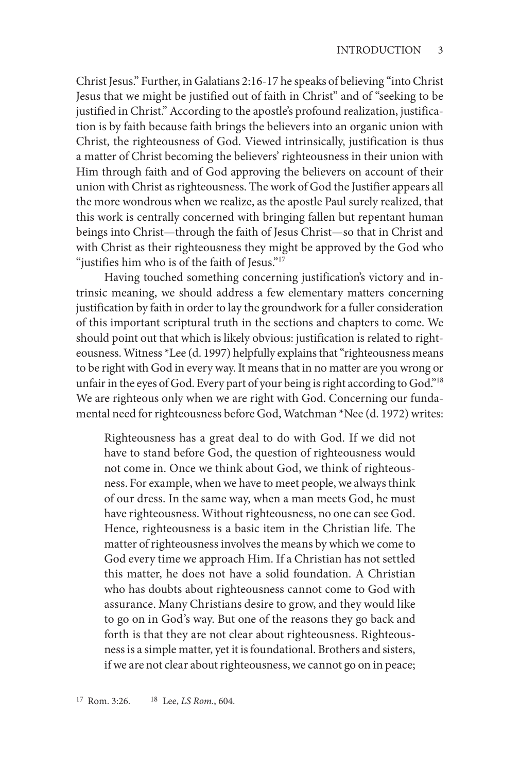Christ Jesus." Further, in Galatians 2:16-17 he speaks of believing "into Christ Jesus that we might be justified out of faith in Christ" and of "seeking to be justified in Christ." According to the apostle's profound realization, justification is by faith because faith brings the believers into an organic union with Christ, the righteousness of God. Viewed intrinsically, justification is thus a matter of Christ becoming the believers' righteousness in their union with Him through faith and of God approving the believers on account of their union with Christ as righteousness. The work of God the Justifier appears all the more wondrous when we realize, as the apostle Paul surely realized, that this work is centrally concerned with bringing fallen but repentant human beings into Christ—through the faith of Jesus Christ—so that in Christ and with Christ as their righteousness they might be approved by the God who "justifies him who is of the faith of Jesus."<sup>17</sup>

Having touched something concerning justification's victory and intrinsic meaning, we should address a few elementary matters concerning justification by faith in order to lay the groundwork for a fuller consideration of this important scriptural truth in the sections and chapters to come. We should point out that which is likely obvious: justification is related to righteousness. Witness \*Lee (d. 1997) helpfully explains that "righteousness means to be right with God in every way. It means that in no matter are you wrong or unfair in the eyes of God. Every part of your being is right according to God."<sup>18</sup> We are righteous only when we are right with God. Concerning our fundamental need for righteousness before God, Watchman \*Nee (d. 1972) writes:

Righteousness has a great deal to do with God. If we did not have to stand before God, the question of righteousness would not come in. Once we think about God, we think of righteousness. For example, when we have to meet people, we always think of our dress. In the same way, when a man meets God, he must have righteousness. Without righteousness, no one can see God. Hence, righteousness is a basic item in the Christian life. The matter of righteousness involves the means by which we come to God every time we approach Him. If a Christian has not settled this matter, he does not have a solid foundation. A Christian who has doubts about righteousness cannot come to God with assurance. Many Christians desire to grow, and they would like to go on in God's way. But one of the reasons they go back and forth is that they are not clear about righteousness. Righteousness is a simple matter, yet it is foundational. Brothers and sisters, if we are not clear about righteousness, we cannot go on in peace;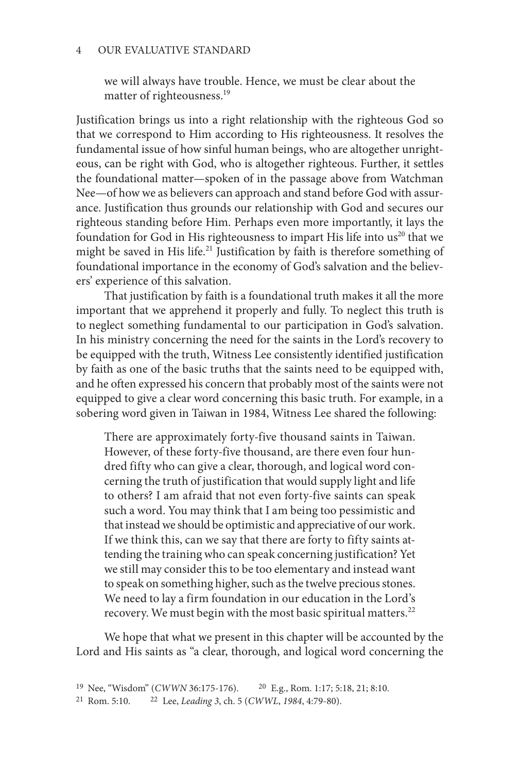#### 4 OUR EVALUATIVE STANDARD

we will always have trouble. Hence, we must be clear about the matter of righteousness.<sup>19</sup>

Justification brings us into a right relationship with the righteous God so that we correspond to Him according to His righteousness. It resolves the fundamental issue of how sinful human beings, who are altogether unrighteous, can be right with God, who is altogether righteous. Further, it settles the foundational matter—spoken of in the passage above from Watchman Nee—of how we as believers can approach and stand before God with assurance. Justification thus grounds our relationship with God and secures our righteous standing before Him. Perhaps even more importantly, it lays the foundation for God in His righteousness to impart His life into us<sup>20</sup> that we might be saved in His life.<sup>21</sup> Justification by faith is therefore something of foundational importance in the economy of God's salvation and the believers' experience of this salvation.

That justification by faith is a foundational truth makes it all the more important that we apprehend it properly and fully. To neglect this truth is to neglect something fundamental to our participation in God's salvation. In his ministry concerning the need for the saints in the Lord's recovery to be equipped with the truth, Witness Lee consistently identified justification by faith as one of the basic truths that the saints need to be equipped with, and he often expressed his concern that probably most of the saints were not equipped to give a clear word concerning this basic truth. For example, in a sobering word given in Taiwan in 1984, Witness Lee shared the following:

There are approximately forty-five thousand saints in Taiwan. However, of these forty-five thousand, are there even four hundred fifty who can give a clear, thorough, and logical word concerning the truth of justification that would supply light and life to others? I am afraid that not even forty-five saints can speak such a word. You may think that I am being too pessimistic and that instead we should be optimistic and appreciative of our work. If we think this, can we say that there are forty to fifty saints attending the training who can speak concerning justification? Yet we still may consider this to be too elementary and instead want to speak on something higher, such as the twelve precious stones. We need to lay a firm foundation in our education in the Lord's recovery. We must begin with the most basic spiritual matters.<sup>22</sup>

We hope that what we present in this chapter will be accounted by the Lord and His saints as "a clear, thorough, and logical word concerning the

<sup>19</sup> Nee, "Wisdom" (*CWWN* 36:175-176). 20 E.g., Rom. 1:17; 5:18, 21; 8:10.

<sup>21</sup> Rom. 5:10. 22 Lee, *Leading 3*, ch. 5 (*CWWL*, *1984*, 4:79-80).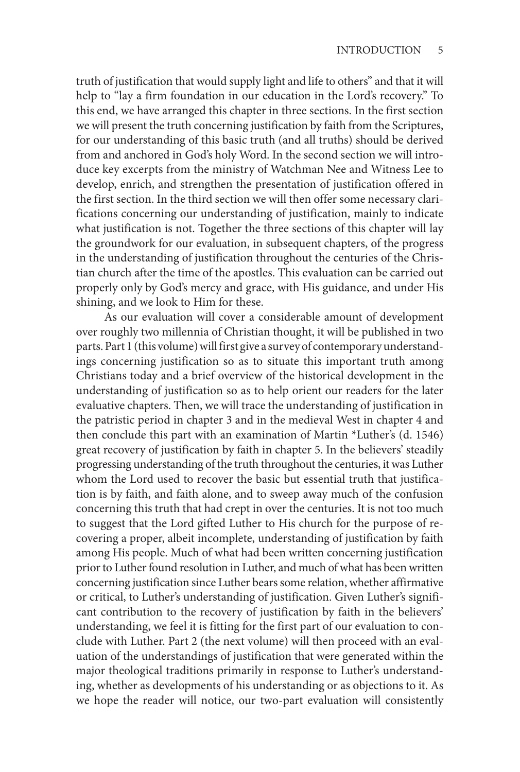truth of justification that would supply light and life to others" and that it will help to "lay a firm foundation in our education in the Lord's recovery." To this end, we have arranged this chapter in three sections. In the first section we will present the truth concerning justification by faith from the Scriptures, for our understanding of this basic truth (and all truths) should be derived from and anchored in God's holy Word. In the second section we will introduce key excerpts from the ministry of Watchman Nee and Witness Lee to develop, enrich, and strengthen the presentation of justification offered in the first section. In the third section we will then offer some necessary clarifications concerning our understanding of justification, mainly to indicate what justification is not. Together the three sections of this chapter will lay the groundwork for our evaluation, in subsequent chapters, of the progress in the understanding of justification throughout the centuries of the Christian church after the time of the apostles. This evaluation can be carried out properly only by God's mercy and grace, with His guidance, and under His shining, and we look to Him for these.

As our evaluation will cover a considerable amount of development over roughly two millennia of Christian thought, it will be published in two parts. Part 1 (this volume) will first give a survey of contemporary understandings concerning justification so as to situate this important truth among Christians today and a brief overview of the historical development in the understanding of justification so as to help orient our readers for the later evaluative chapters. Then, we will trace the understanding of justification in the patristic period in chapter 3 and in the medieval West in chapter 4 and then conclude this part with an examination of Martin \*Luther's (d. 1546) great recovery of justification by faith in chapter 5. In the believers' steadily progressing understanding of the truth throughout the centuries, it was Luther whom the Lord used to recover the basic but essential truth that justification is by faith, and faith alone, and to sweep away much of the confusion concerning this truth that had crept in over the centuries. It is not too much to suggest that the Lord gifted Luther to His church for the purpose of recovering a proper, albeit incomplete, understanding of justification by faith among His people. Much of what had been written concerning justification prior to Luther found resolution in Luther, and much of what has been written concerning justification since Luther bears some relation, whether affirmative or critical, to Luther's understanding of justification. Given Luther's significant contribution to the recovery of justification by faith in the believers' understanding, we feel it is fitting for the first part of our evaluation to conclude with Luther. Part 2 (the next volume) will then proceed with an evaluation of the understandings of justification that were generated within the major theological traditions primarily in response to Luther's understanding, whether as developments of his understanding or as objections to it. As we hope the reader will notice, our two-part evaluation will consistently